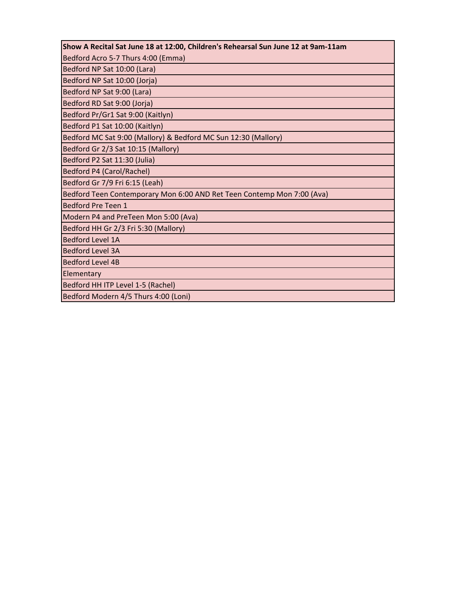| Show A Recital Sat June 18 at 12:00, Children's Rehearsal Sun June 12 at 9am-11am |
|-----------------------------------------------------------------------------------|
| Bedford Acro 5-7 Thurs 4:00 (Emma)                                                |
|                                                                                   |
| Bedford NP Sat 10:00 (Lara)                                                       |
| Bedford NP Sat 10:00 (Jorja)                                                      |
| Bedford NP Sat 9:00 (Lara)                                                        |
| Bedford RD Sat 9:00 (Jorja)                                                       |
| Bedford Pr/Gr1 Sat 9:00 (Kaitlyn)                                                 |
| Bedford P1 Sat 10:00 (Kaitlyn)                                                    |
| Bedford MC Sat 9:00 (Mallory) & Bedford MC Sun 12:30 (Mallory)                    |
| Bedford Gr 2/3 Sat 10:15 (Mallory)                                                |
| Bedford P2 Sat 11:30 (Julia)                                                      |
| Bedford P4 (Carol/Rachel)                                                         |
| Bedford Gr 7/9 Fri 6:15 (Leah)                                                    |
| Bedford Teen Contemporary Mon 6:00 AND Ret Teen Contemp Mon 7:00 (Ava)            |
| Bedford Pre Teen 1                                                                |
| Modern P4 and PreTeen Mon 5:00 (Ava)                                              |
| Bedford HH Gr 2/3 Fri 5:30 (Mallory)                                              |
| <b>Bedford Level 1A</b>                                                           |
| <b>Bedford Level 3A</b>                                                           |
| <b>Bedford Level 4B</b>                                                           |
| Elementary                                                                        |
| Bedford HH ITP Level 1-5 (Rachel)                                                 |
| Bedford Modern 4/5 Thurs 4:00 (Loni)                                              |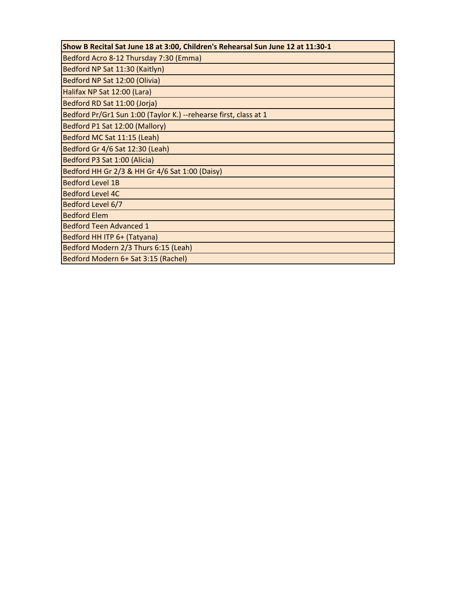| Show B Recital Sat June 18 at 3:00, Children's Rehearsal Sun June 12 at 11:30-1 |
|---------------------------------------------------------------------------------|
| Bedford Acro 8-12 Thursday 7:30 (Emma)                                          |
| Bedford NP Sat 11:30 (Kaitlyn)                                                  |
| Bedford NP Sat 12:00 (Olivia)                                                   |
| Halifax NP Sat 12:00 (Lara)                                                     |
| Bedford RD Sat 11:00 (Jorja)                                                    |
| Bedford Pr/Gr1 Sun 1:00 (Taylor K.) --rehearse first, class at 1                |
| Bedford P1 Sat 12:00 (Mallory)                                                  |
| Bedford MC Sat 11:15 (Leah)                                                     |
| Bedford Gr 4/6 Sat 12:30 (Leah)                                                 |
| Bedford P3 Sat 1:00 (Alicia)                                                    |
| Bedford HH Gr 2/3 & HH Gr 4/6 Sat 1:00 (Daisy)                                  |
| <b>Bedford Level 1B</b>                                                         |
| <b>Bedford Level 4C</b>                                                         |
| Bedford Level 6/7                                                               |
| <b>Bedford Elem</b>                                                             |
| <b>Bedford Teen Advanced 1</b>                                                  |
| Bedford HH ITP 6+ (Tatyana)                                                     |
| Bedford Modern 2/3 Thurs 6:15 (Leah)                                            |
| Bedford Modern 6+ Sat 3:15 (Rachel)                                             |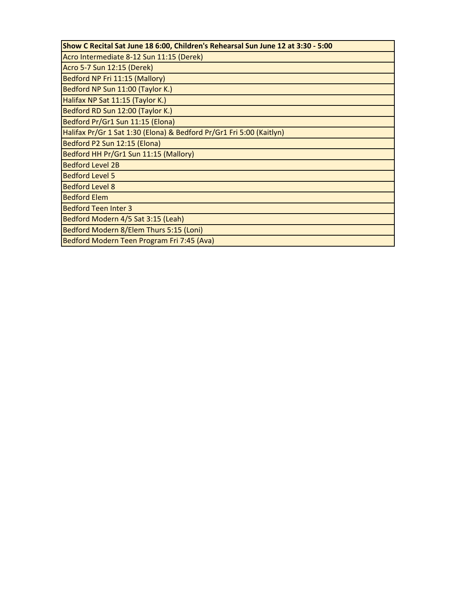| Show C Recital Sat June 18 6:00, Children's Rehearsal Sun June 12 at 3:30 - 5:00 |
|----------------------------------------------------------------------------------|
| Acro Intermediate 8-12 Sun 11:15 (Derek)                                         |
| Acro 5-7 Sun 12:15 (Derek)                                                       |
| Bedford NP Fri 11:15 (Mallory)                                                   |
| Bedford NP Sun 11:00 (Taylor K.)                                                 |
| Halifax NP Sat 11:15 (Taylor K.)                                                 |
| Bedford RD Sun 12:00 (Taylor K.)                                                 |
| Bedford Pr/Gr1 Sun 11:15 (Elona)                                                 |
| Halifax Pr/Gr 1 Sat 1:30 (Elona) & Bedford Pr/Gr1 Fri 5:00 (Kaitlyn)             |
| Bedford P2 Sun 12:15 (Elona)                                                     |
| Bedford HH Pr/Gr1 Sun 11:15 (Mallory)                                            |
| <b>Bedford Level 2B</b>                                                          |
| <b>Bedford Level 5</b>                                                           |
| <b>Bedford Level 8</b>                                                           |
| <b>Bedford Elem</b>                                                              |
| <b>Bedford Teen Inter 3</b>                                                      |
| Bedford Modern 4/5 Sat 3:15 (Leah)                                               |
| Bedford Modern 8/Elem Thurs 5:15 (Loni)                                          |
| Bedford Modern Teen Program Fri 7:45 (Ava)                                       |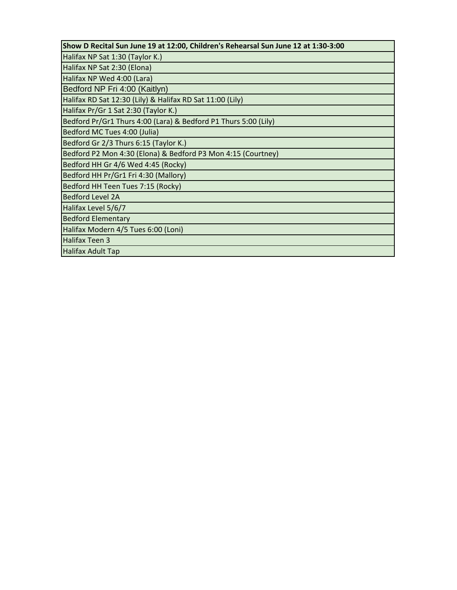| Show D Recital Sun June 19 at 12:00, Children's Rehearsal Sun June 12 at 1:30-3:00 |
|------------------------------------------------------------------------------------|
| Halifax NP Sat 1:30 (Taylor K.)                                                    |
| Halifax NP Sat 2:30 (Elona)                                                        |
| Halifax NP Wed 4:00 (Lara)                                                         |
| Bedford NP Fri 4:00 (Kaitlyn)                                                      |
| Halifax RD Sat 12:30 (Lily) & Halifax RD Sat 11:00 (Lily)                          |
| Halifax Pr/Gr 1 Sat 2:30 (Taylor K.)                                               |
| Bedford Pr/Gr1 Thurs 4:00 (Lara) & Bedford P1 Thurs 5:00 (Lily)                    |
| Bedford MC Tues 4:00 (Julia)                                                       |
| Bedford Gr 2/3 Thurs 6:15 (Taylor K.)                                              |
| Bedford P2 Mon 4:30 (Elona) & Bedford P3 Mon 4:15 (Courtney)                       |
| Bedford HH Gr 4/6 Wed 4:45 (Rocky)                                                 |
| Bedford HH Pr/Gr1 Fri 4:30 (Mallory)                                               |
| Bedford HH Teen Tues 7:15 (Rocky)                                                  |
| <b>Bedford Level 2A</b>                                                            |
| Halifax Level 5/6/7                                                                |
| <b>Bedford Elementary</b>                                                          |
| Halifax Modern 4/5 Tues 6:00 (Loni)                                                |
| <b>Halifax Teen 3</b>                                                              |
| <b>Halifax Adult Tap</b>                                                           |